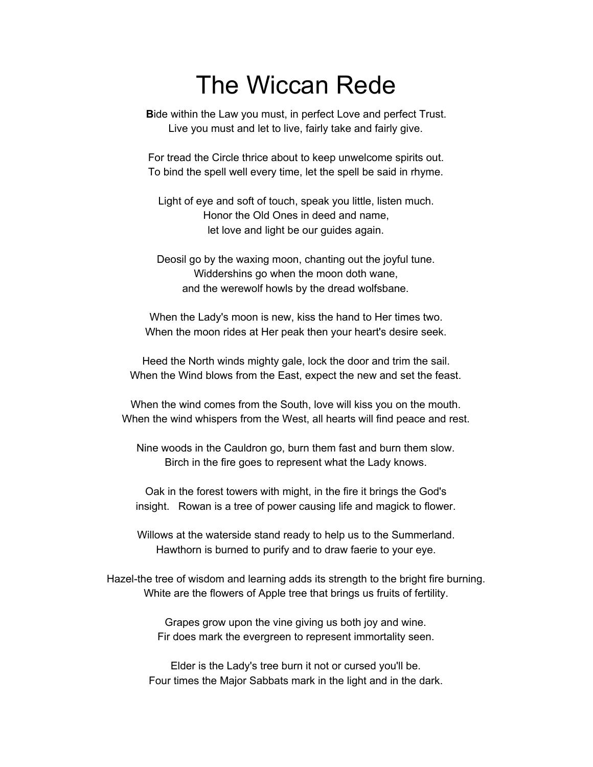## The Wiccan Rede

**B**ide within the Law you must, in perfect Love and perfect Trust. Live you must and let to live, fairly take and fairly give.

For tread the Circle thrice about to keep unwelcome spirits out. To bind the spell well every time, let the spell be said in rhyme.

Light of eye and soft of touch, speak you little, listen much. Honor the Old Ones in deed and name, let love and light be our guides again.

Deosil go by the waxing moon, chanting out the joyful tune. Widdershins go when the moon doth wane, and the werewolf howls by the dread wolfsbane.

When the Lady's moon is new, kiss the hand to Her times two. When the moon rides at Her peak then your heart's desire seek.

Heed the North winds mighty gale, lock the door and trim the sail. When the Wind blows from the East, expect the new and set the feast.

When the wind comes from the South, love will kiss you on the mouth. When the wind whispers from the West, all hearts will find peace and rest.

Nine woods in the Cauldron go, burn them fast and burn them slow. Birch in the fire goes to represent what the Lady knows.

Oak in the forest towers with might, in the fire it brings the God's insight. Rowan is a tree of power causing life and magick to flower.

Willows at the waterside stand ready to help us to the Summerland. Hawthorn is burned to purify and to draw faerie to your eye.

Hazel-the tree of wisdom and learning adds its strength to the bright fire burning. White are the flowers of Apple tree that brings us fruits of fertility.

> Grapes grow upon the vine giving us both joy and wine. Fir does mark the evergreen to represent immortality seen.

Elder is the Lady's tree burn it not or cursed you'll be. Four times the Major Sabbats mark in the light and in the dark.